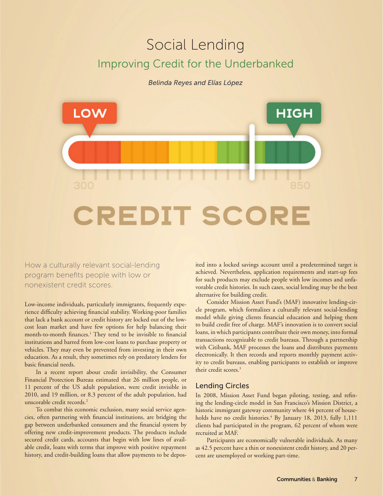# Social Lending Improving Credit for the Underbanked

### *Belinda Reyes and Elías López*



How a culturally relevant social-lending program benefits people with low or nonexistent credit scores.

Low-income individuals, particularly immigrants, frequently experience difficulty achieving financial stability. Working-poor families that lack a bank account or credit history are locked out of the lowcost loan market and have few options for help balancing their month-to-month finances.<sup>1</sup> They tend to be invisible to financial institutions and barred from low-cost loans to purchase property or vehicles. They may even be prevented from investing in their own education. As a result, they sometimes rely on predatory lenders for basic financial needs.

In a recent report about credit invisibility, the Consumer Financial Protection Bureau estimated that 26 million people, or 11 percent of the US adult population, were credit invisible in 2010, and 19 million, or 8.3 percent of the adult population, had unscorable credit records.2

To combat this economic exclusion, many social service agencies, often partnering with financial institutions, are bridging the gap between underbanked consumers and the financial system by offering new credit-improvement products. The products include secured credit cards, accounts that begin with low lines of available credit, loans with terms that improve with positive repayment history, and credit-building loans that allow payments to be deposited into a locked savings account until a predetermined target is achieved. Nevertheless, application requirements and start-up fees for such products may exclude people with low incomes and unfavorable credit histories. In such cases, social lending may be the best alternative for building credit.

Consider Mission Asset Fund's (MAF) innovative lending-circle program, which formalizes a culturally relevant social-lending model while giving clients financial education and helping them to build credit free of charge. MAF's innovation is to convert social loans, in which participants contribute their own money, into formal transactions recognizable to credit bureaus. Through a partnership with Citibank, MAF processes the loans and distributes payments electronically. It then records and reports monthly payment activity to credit bureaus, enabling participants to establish or improve their credit scores.<sup>3</sup>

## Lending Circles

In 2008, Mission Asset Fund began piloting, testing, and refining the lending-circle model in San Francisco's Mission District, a historic immigrant gateway community where 44 percent of households have no credit histories.<sup>4</sup> By January 18, 2013, fully 1,111 clients had participated in the program, 62 percent of whom were recruited at MAF.

Participants are economically vulnerable individuals. As many as 42.5 percent have a thin or nonexistent credit history, and 20 percent are unemployed or working part-time.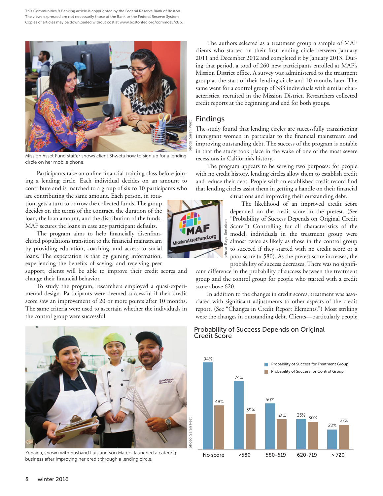This Communities & Banking article is copyrighted by the Federal Reserve Bank of Boston. The views expressed are not necessarily those of the Bank or the Federal Reserve System. Copies of articles may be downloaded without cost at www.bostonfed.org/commdev/c&b.



Mission Asset Fund staffer shows client Shweta how to sign up for a lending circle on her mobile phone.

Participants take an online financial training class before joining a lending circle. Each individual decides on an amount to contribute and is matched to a group of six to 10 participants who

are contributing the same amount. Each person, in rotation, gets a turn to borrow the collected funds. The group decides on the terms of the contract, the duration of the loan, the loan amount, and the distribution of the funds. MAF secures the loans in case any participant defaults.

The program aims to help financially disenfranchised populations transition to the financial mainstream by providing education, coaching, and access to social loans. The expectation is that by gaining information, experiencing the benefits of saving, and receiving peer

support, clients will be able to improve their credit scores and change their financial behavior.

To study the program, researchers employed a quasi-experimental design. Participants were deemed successful if their credit score saw an improvement of 20 or more points after 10 months. The same criteria were used to ascertain whether the individuals in the control group were successful.



Zenaida, shown with husband Luis and son Mateo, launched a catering business after improving her credit through a lending circle.

The authors selected as a treatment group a sample of MAF clients who started on their first lending circle between January 2011 and December 2012 and completed it by January 2013. During that period, a total of 260 new participants enrolled at MAF's Mission District office. A survey was administered to the treatment group at the start of their lending circle and 10 months later. The same went for a control group of 383 individuals with similar characteristics, recruited in the Mission District. Researchers collected credit reports at the beginning and end for both groups.

#### Findings

The study found that lending circles are successfully transitioning immigrant women in particular to the financial mainstream and improving outstanding debt. The success of the program is notable in that the study took place in the wake of one of the most severe recessions in California's history.

The program appears to be serving two purposes: for people with no credit history, lending circles allow them to establish credit and reduce their debt. People with an established credit record find that lending circles assist them in getting a handle on their financial situations and improving their outstanding debt.

The likelihood of an improved credit score depended on the credit score in the pretest. (See "Probability of Success Depends on Original Credit Score.") Controlling for all characteristics of the model, individuals in the treatment group were almost twice as likely as those in the control group to succeed if they started with no credit score or a poor score (< 580). As the pretest score increases, the

probability of success decreases. There was no significant difference in the probability of success between the treatment group and the control group for people who started with a credit score above 620.

In addition to the changes in credit scores, treatment was associated with significant adjustments to other aspects of the credit report. (See "Changes in Credit Report Elements.") Most striking were the changes in outstanding debt. Clients—particularly people

#### Probability of Success Depends on Original Credit Score





photo Page Bertelsen

Ber